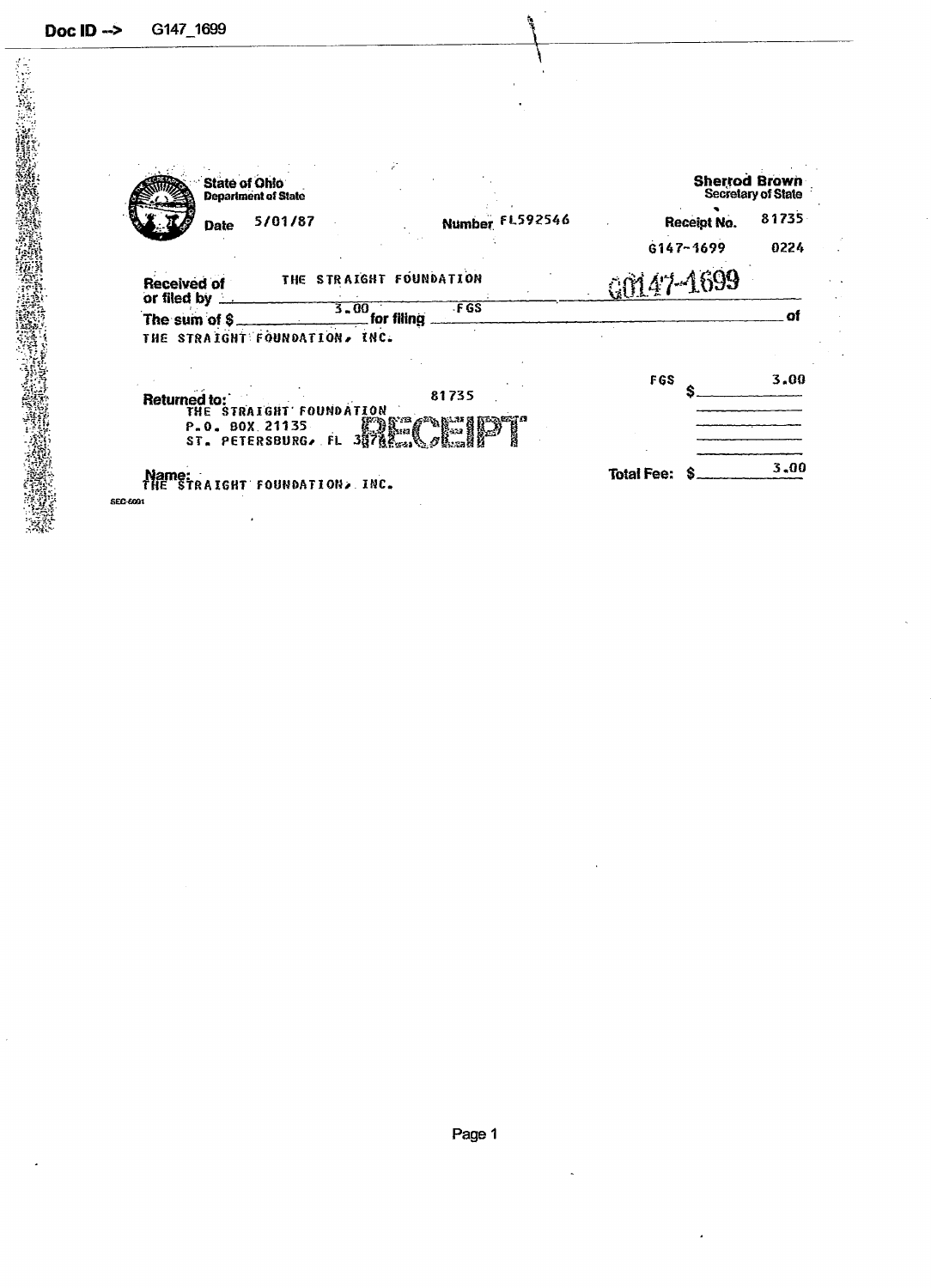| <b>State of Ohio</b>                     | <b>Department of State</b>           |                 | <b>Sherrod Brown</b> | <b>Secretary of State</b> |
|------------------------------------------|--------------------------------------|-----------------|----------------------|---------------------------|
| Date                                     | 5/01/87                              | Number FL592546 | Receipt No.          | 81735                     |
|                                          |                                      |                 | $6147 - 1699$        | 0224                      |
| <b>Received of</b><br>or filed by $\_\_$ | THE STRAIGHT FOUNDATION              |                 | GO147-1699           |                           |
| The sum of \$                            | $\frac{3.00}{2}$ for filling         | FGS             |                      | Ωl                        |
|                                          | THE STRAIGHT FOUNDATION, INC.        |                 |                      |                           |
| <b>Returned to:</b>                      | THE STRAIGHT FOUNDATION              | 81735           | <b>FGS</b>           | 3.00                      |
|                                          | P.O. BOX 21135<br>ST. PETERSBURG, FL |                 |                      |                           |
|                                          | TRAIGHT FOUNDATION. INC.             |                 | <b>Total Fee:</b>    | 3,00                      |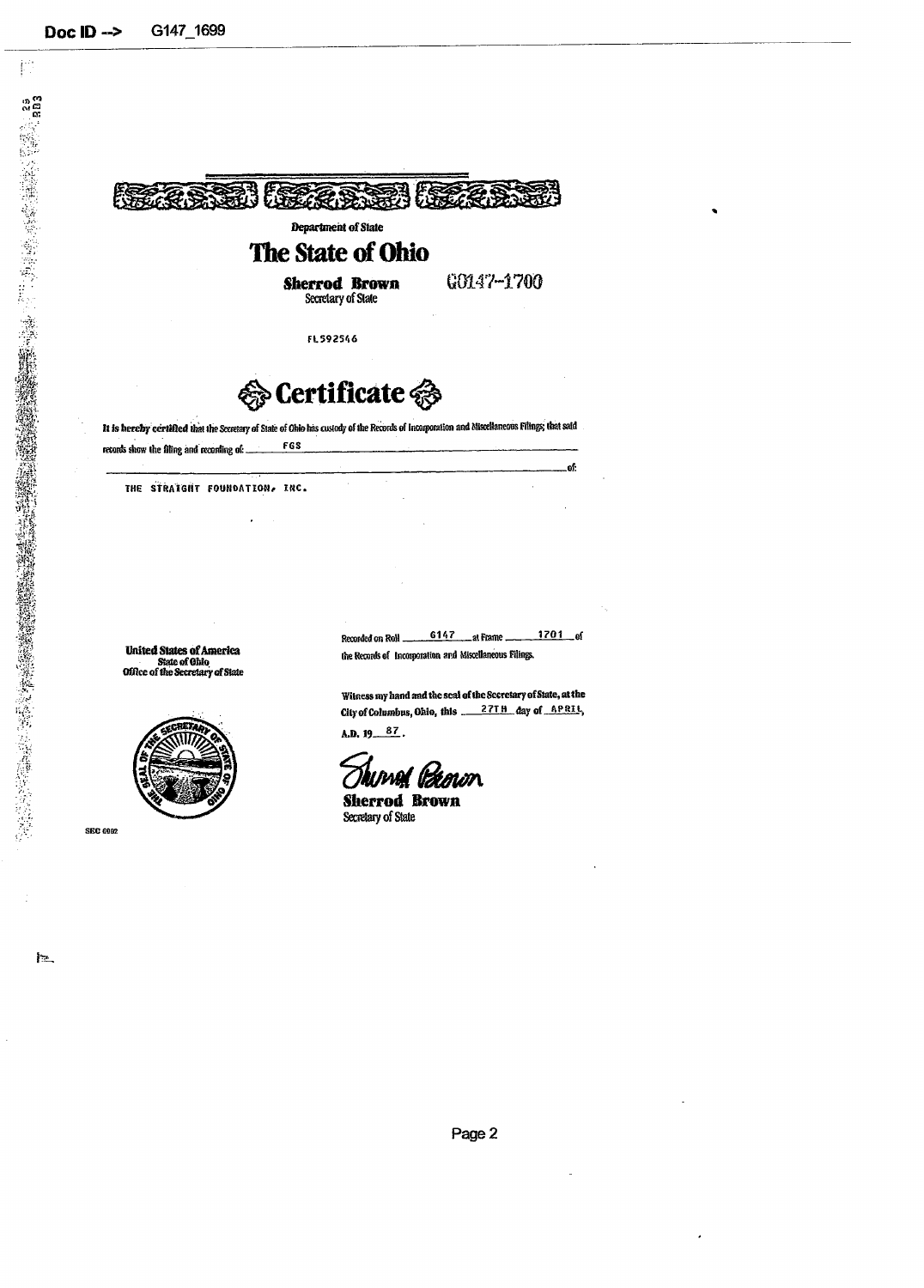控

 $\mathbf{h}$ 



It is hereby certified that the Secretary of State of Ohio has custody of the Records of Incorporation and Miscellaneous Filings; that said FGS records show the filing and recording of: ...

THE STRAIGHT FOUNDATION, INC.

United States of America<br>State of Ohio<br>Office of the Secretary of State



**SEC 6002** 

 $6147$  $1701$  of <sub>-</sub>at Frame. Recorded on Roll ... the Records of Incorporation and Miscellaneous Filings.

Witness my hand and the seal of the Secretary of State, at the 

A.D.  $19 - 87$ .

Olumat lizeman **Sherrod Brown** 

Secretary of State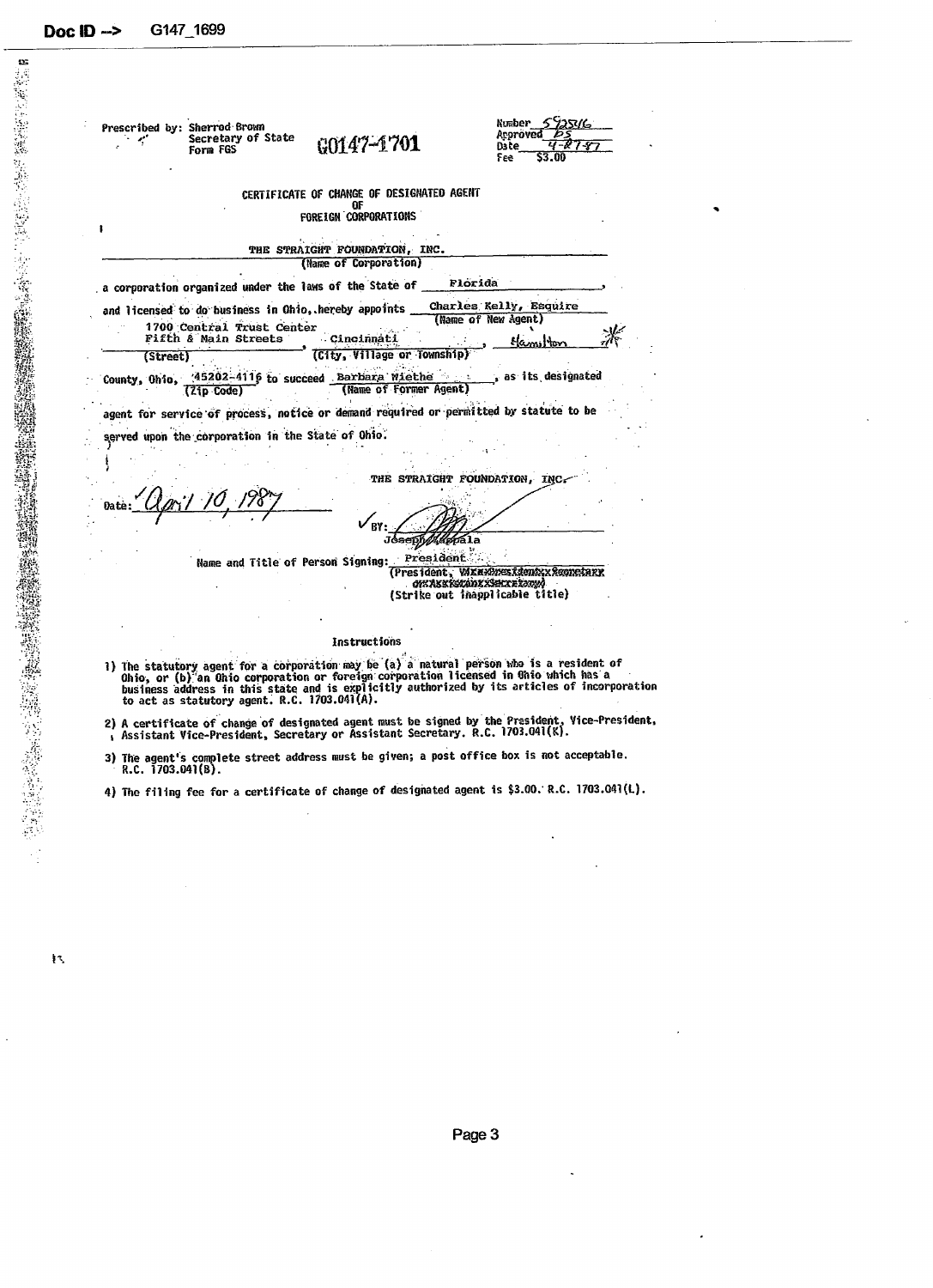| Secretary of State<br>Form FGS                                                                                          | $0.0147 - 1701$                                                         | Number 5925016<br>Arproved <i>PS</i><br>4-878<br>Date.<br>\$3.00<br>Feel |
|-------------------------------------------------------------------------------------------------------------------------|-------------------------------------------------------------------------|--------------------------------------------------------------------------|
|                                                                                                                         | CERTIFICATE OF CHANGE OF DESIGNATED AGENT<br>ΩF<br>FOREIGN CORPORATIONS |                                                                          |
|                                                                                                                         | THE STRAIGHT FOUNDATION, INC.<br>(Name of Corporation)                  |                                                                          |
| a corporation organized under the laws of the State of _                                                                |                                                                         | Florida                                                                  |
| and licensed to do business in Ohio, hereby appoints __<br>1700 Central Trust Center<br><b>Fifth &amp; Main Streets</b> | Cincinnati                                                              | Charles Kelly, Esquire<br>(Name of New Agent)<br>Hamiton                 |
| (Street)                                                                                                                | (City, Village or Township                                              |                                                                          |
| County, Ohio, 25202-4116 to succeed Barbara Wiethe  . as its designated<br>(Zip Code)                                   | (Name of Former Agent)                                                  |                                                                          |
| agent for service of process, notice or demand required or permitted by statute to be                                   |                                                                         |                                                                          |
|                                                                                                                         |                                                                         |                                                                          |
| served upon the corporation in the State of Ohio.                                                                       |                                                                         |                                                                          |
|                                                                                                                         |                                                                         |                                                                          |
|                                                                                                                         |                                                                         | THE STRAIGHT FOUNDATION, INC                                             |
|                                                                                                                         |                                                                         |                                                                          |
|                                                                                                                         |                                                                         |                                                                          |
|                                                                                                                         |                                                                         |                                                                          |
| Name and Title of Person Signing:                                                                                       | President                                                               | <b><i>GK ASSISIANISSEIXEISUM</i></b><br>(Strike out inapplicable title)  |
|                                                                                                                         |                                                                         |                                                                          |
|                                                                                                                         | Instructions                                                            | (President, WXAXXXXXdentxxSeconetarx                                     |

- he statutory agent for a corporation may be (a) a matural person more is a resident of<br>hio, or (b) an Ohio corporation or foreign corporation licensed in Ohio which has a<br>usiness address in this state and is explicitly aut
- ) A certificate of change of designated agent must be signed by the President, Vice-President,<br>, Assistant Vice-President, Secretary or Assistant Secretary, R.C. 1703.041(K).
- 3) The agent's complete street address must be given; a post office box is not acceptable. «.C. 1703.041(8).

4) The filing fee for a certificate of change of designated agent is \$3.00.' R.C. 1703.041(1).